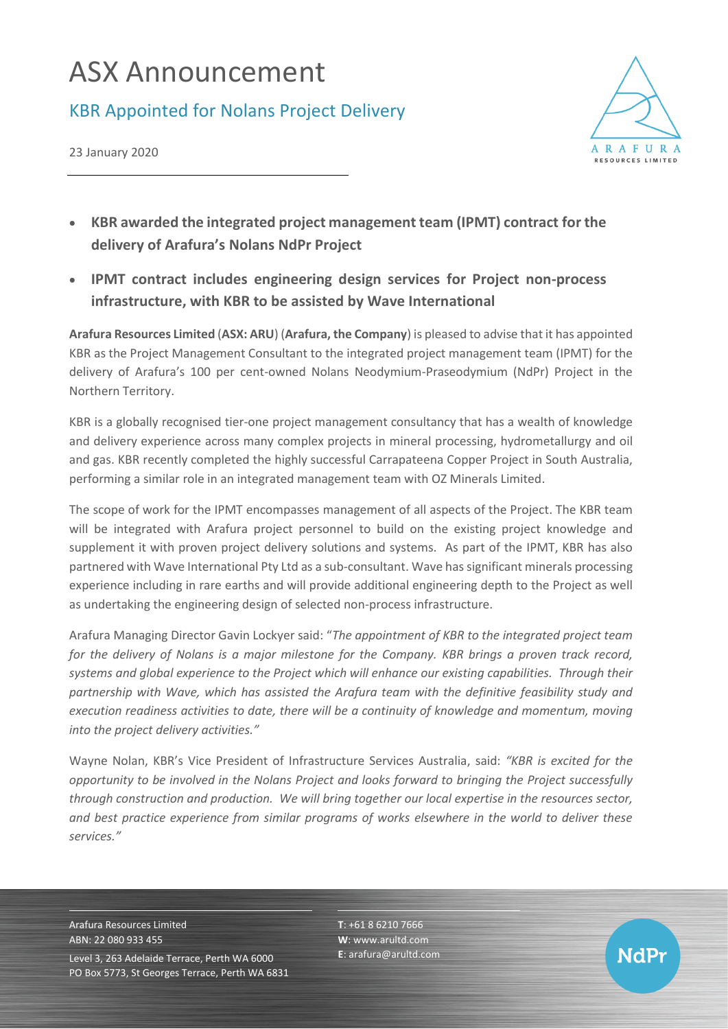## ASX Announcement

## KBR Appointed for Nolans Project Delivery



23 January 2020

- **KBR awarded the integrated project management team (IPMT) contract for the delivery of Arafura's Nolans NdPr Project**
- **IPMT contract includes engineering design services for Project non-process infrastructure, with KBR to be assisted by Wave International**

**Arafura Resources Limited** (**ASX: ARU**) (**Arafura, the Company**) is pleased to advise that it has appointed KBR as the Project Management Consultant to the integrated project management team (IPMT) for the delivery of Arafura's 100 per cent-owned Nolans Neodymium-Praseodymium (NdPr) Project in the Northern Territory.

KBR is a globally recognised tier-one project management consultancy that has a wealth of knowledge and delivery experience across many complex projects in mineral processing, hydrometallurgy and oil and gas. KBR recently completed the highly successful Carrapateena Copper Project in South Australia, performing a similar role in an integrated management team with OZ Minerals Limited.

The scope of work for the IPMT encompasses management of all aspects of the Project. The KBR team will be integrated with Arafura project personnel to build on the existing project knowledge and supplement it with proven project delivery solutions and systems. As part of the IPMT, KBR has also partnered with Wave International Pty Ltd as a sub-consultant. Wave has significant minerals processing experience including in rare earths and will provide additional engineering depth to the Project as well as undertaking the engineering design of selected non-process infrastructure.

Arafura Managing Director Gavin Lockyer said: "*The appointment of KBR to the integrated project team for the delivery of Nolans is a major milestone for the Company. KBR brings a proven track record, systems and global experience to the Project which will enhance our existing capabilities. Through their partnership with Wave, which has assisted the Arafura team with the definitive feasibility study and execution readiness activities to date, there will be a continuity of knowledge and momentum, moving into the project delivery activities."*

Wayne Nolan, KBR's Vice President of Infrastructure Services Australia, said: *"KBR is excited for the opportunity to be involved in the Nolans Project and looks forward to bringing the Project successfully through construction and production. We will bring together our local expertise in the resources sector, and best practice experience from similar programs of works elsewhere in the world to deliver these services."*

Arafura Resources Limited ABN: 22 080 933 455 Level 3, 263 Adelaide Terrace, Perth WA 6000 PO Box 5773, St Georges Terrace, Perth WA 6831 **T**: +61 8 6210 7666 **W**: [www.arultd.com](http://www.arultd.com/) **E**[: arafura@arultd.com](mailto:arafura@arultd.com)